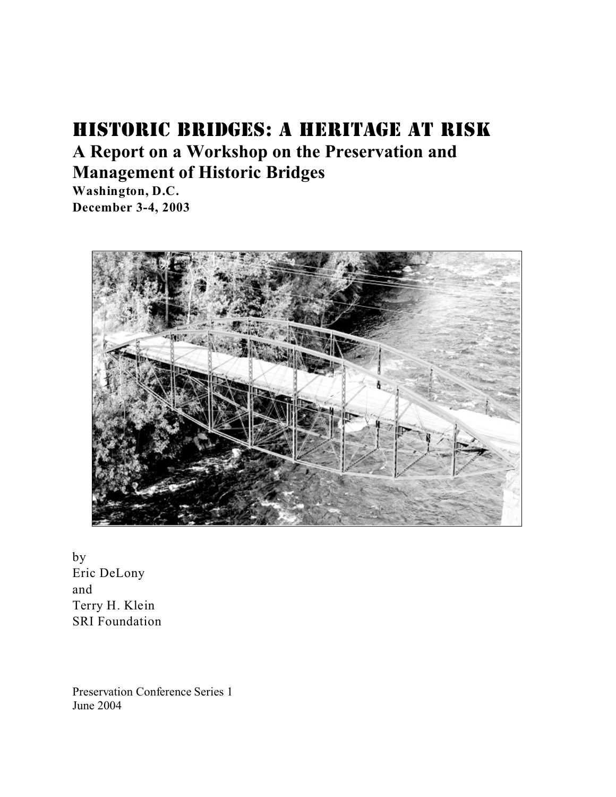# HISTORIC BRIDGES: A HERITAGE AT RISK **A Report on a Workshop on the Preservation and Management of Historic Bridges**

**Washington, D.C. December 3-4, 2003**



by Eric DeLony and Terry H. Klein SRI Foundation

Preservation Conference Series 1 June 2004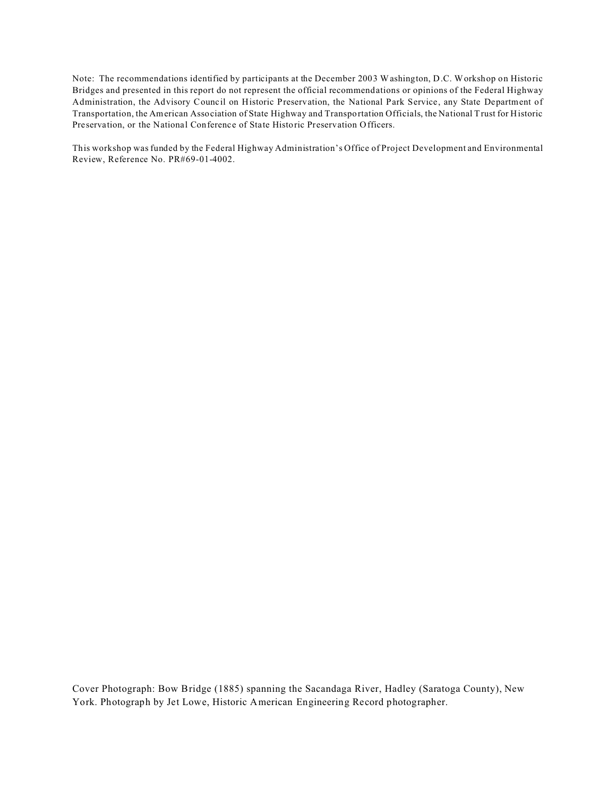Note: The recommendations identified by participants at the December 2003 Washington, D.C. Workshop on Historic Bridges and presented in this report do not represent the official recommendations or opinions of the Federal Highway Administration, the Advisory Council on Historic Preservation, the National Park Service, any State Department of Transportation, the American Association of State Highway and Transportation Officials, the National Trust for Historic Preservation, or the National Conference of State Historic Preservation Officers.

This workshop was funded by the Federal Highway Administration's Office of Project Development and Environmental Review, Reference No. PR#69-01-4002.

Cover Photograph: Bow Bridge (1885) spanning the Sacandaga River, Hadley (Saratoga County), New York. Photograph by Jet Lowe, Historic American Engineering Record photographer.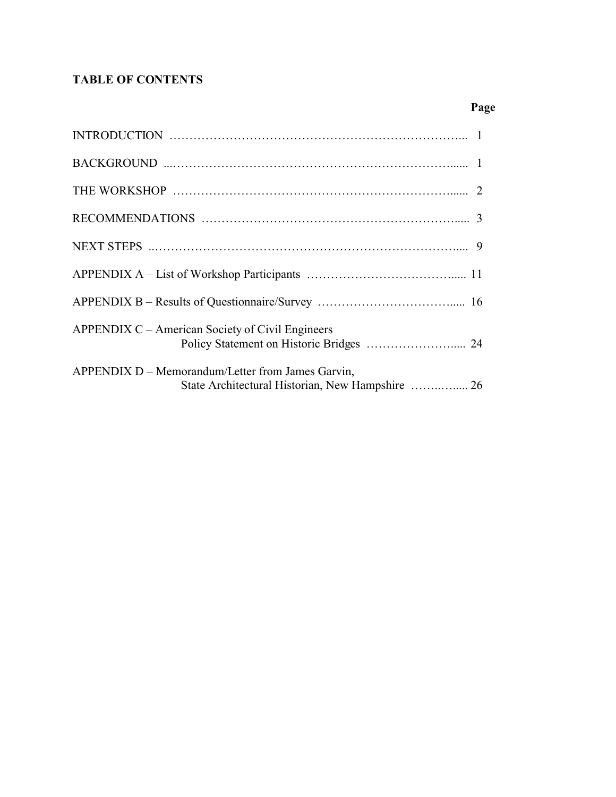# **TABLE OF CONTENTS**

# **Page**

| APPENDIX C – American Society of Civil Engineers                                                      |
|-------------------------------------------------------------------------------------------------------|
| APPENDIX D – Memorandum/Letter from James Garvin,<br>State Architectural Historian, New Hampshire  26 |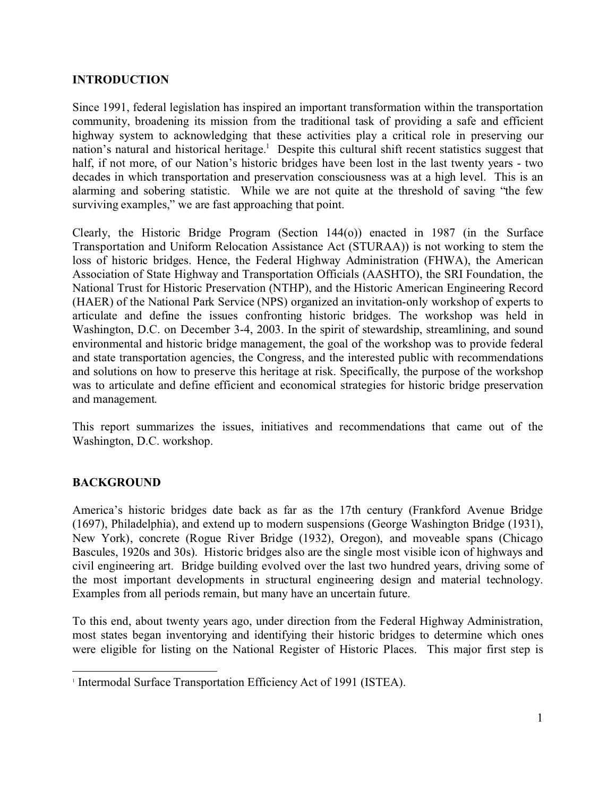# **INTRODUCTION**

Since 1991, federal legislation has inspired an important transformation within the transportation community, broadening its mission from the traditional task of providing a safe and efficient highway system to acknowledging that these activities play a critical role in preserving our nation's natural and historical heritage.<sup>1</sup> Despite this cultural shift recent statistics suggest that half, if not more, of our Nation's historic bridges have been lost in the last twenty years - two decades in which transportation and preservation consciousness was at a high level. This is an alarming and sobering statistic. While we are not quite at the threshold of saving "the few surviving examples," we are fast approaching that point.

Clearly, the Historic Bridge Program (Section 144(o)) enacted in 1987 (in the Surface Transportation and Uniform Relocation Assistance Act (STURAA)) is not working to stem the loss of historic bridges. Hence, the Federal Highway Administration (FHWA), the American Association of State Highway and Transportation Officials (AASHTO), the SRI Foundation, the National Trust for Historic Preservation (NTHP), and the Historic American Engineering Record (HAER) of the National Park Service (NPS) organized an invitation-only workshop of experts to articulate and define the issues confronting historic bridges. The workshop was held in Washington, D.C. on December 3-4, 2003. In the spirit of stewardship, streamlining, and sound environmental and historic bridge management, the goal of the workshop was to provide federal and state transportation agencies, the Congress, and the interested public with recommendations and solutions on how to preserve this heritage at risk. Specifically, the purpose of the workshop was to articulate and define efficient and economical strategies for historic bridge preservation and management.

This report summarizes the issues, initiatives and recommendations that came out of the Washington, D.C. workshop.

# **BACKGROUND**

America's historic bridges date back as far as the 17th century (Frankford Avenue Bridge (1697), Philadelphia), and extend up to modern suspensions (George Washington Bridge (1931), New York), concrete (Rogue River Bridge (1932), Oregon), and moveable spans (Chicago Bascules, 1920s and 30s). Historic bridges also are the single most visible icon of highways and civil engineering art. Bridge building evolved over the last two hundred years, driving some of the most important developments in structural engineering design and material technology. Examples from all periods remain, but many have an uncertain future.

To this end, about twenty years ago, under direction from the Federal Highway Administration, most states began inventorying and identifying their historic bridges to determine which ones were eligible for listing on the National Register of Historic Places. This major first step is

<sup>&</sup>lt;sup>1</sup> Intermodal Surface Transportation Efficiency Act of 1991 (ISTEA).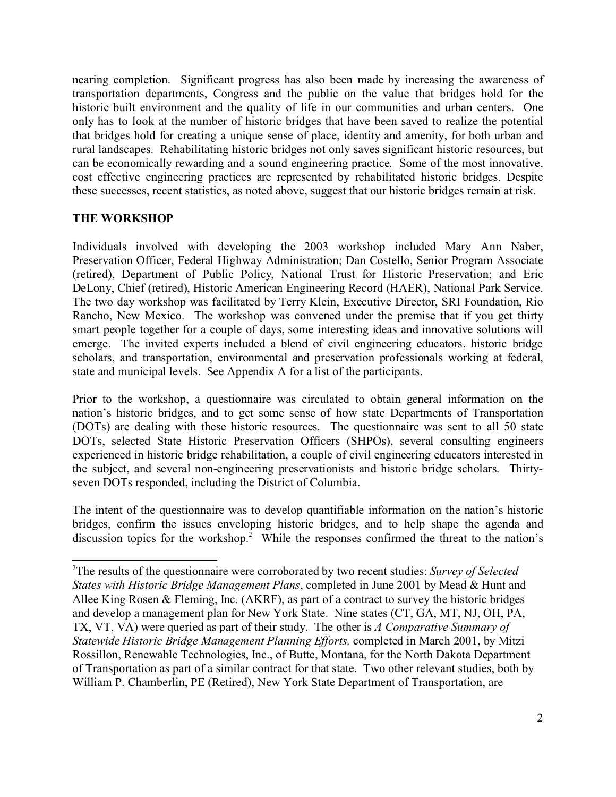nearing completion. Significant progress has also been made by increasing the awareness of transportation departments, Congress and the public on the value that bridges hold for the historic built environment and the quality of life in our communities and urban centers. One only has to look at the number of historic bridges that have been saved to realize the potential that bridges hold for creating a unique sense of place, identity and amenity, for both urban and rural landscapes. Rehabilitating historic bridges not only saves significant historic resources, but can be economically rewarding and a sound engineering practice. Some of the most innovative, cost effective engineering practices are represented by rehabilitated historic bridges. Despite these successes, recent statistics, as noted above, suggest that our historic bridges remain at risk.

# **THE WORKSHOP**

Individuals involved with developing the 2003 workshop included Mary Ann Naber, Preservation Officer, Federal Highway Administration; Dan Costello, Senior Program Associate (retired), Department of Public Policy, National Trust for Historic Preservation; and Eric DeLony, Chief (retired), Historic American Engineering Record (HAER), National Park Service. The two day workshop was facilitated by Terry Klein, Executive Director, SRI Foundation, Rio Rancho, New Mexico. The workshop was convened under the premise that if you get thirty smart people together for a couple of days, some interesting ideas and innovative solutions will emerge. The invited experts included a blend of civil engineering educators, historic bridge scholars, and transportation, environmental and preservation professionals working at federal, state and municipal levels. See Appendix A for a list of the participants.

Prior to the workshop, a questionnaire was circulated to obtain general information on the nation's historic bridges, and to get some sense of how state Departments of Transportation (DOTs) are dealing with these historic resources. The questionnaire was sent to all 50 state DOTs, selected State Historic Preservation Officers (SHPOs), several consulting engineers experienced in historic bridge rehabilitation, a couple of civil engineering educators interested in the subject, and several non-engineering preservationists and historic bridge scholars. Thirtyseven DOTs responded, including the District of Columbia.

The intent of the questionnaire was to develop quantifiable information on the nation's historic bridges, confirm the issues enveloping historic bridges, and to help shape the agenda and discussion topics for the workshop.<sup>2</sup> While the responses confirmed the threat to the nation's

<sup>2</sup>The results of the questionnaire were corroborated by two recent studies: *Survey of Selected States with Historic Bridge Management Plans*, completed in June 2001 by Mead & Hunt and Allee King Rosen & Fleming, Inc. (AKRF), as part of a contract to survey the historic bridges and develop a management plan for New York State. Nine states (CT, GA, MT, NJ, OH, PA, TX, VT, VA) were queried as part of their study. The other is *A Comparative Summary of Statewide Historic Bridge Management Planning Efforts,* completed in March 2001, by Mitzi Rossillon, Renewable Technologies, Inc., of Butte, Montana, for the North Dakota Department of Transportation as part of a similar contract for that state. Two other relevant studies, both by William P. Chamberlin, PE (Retired), New York State Department of Transportation, are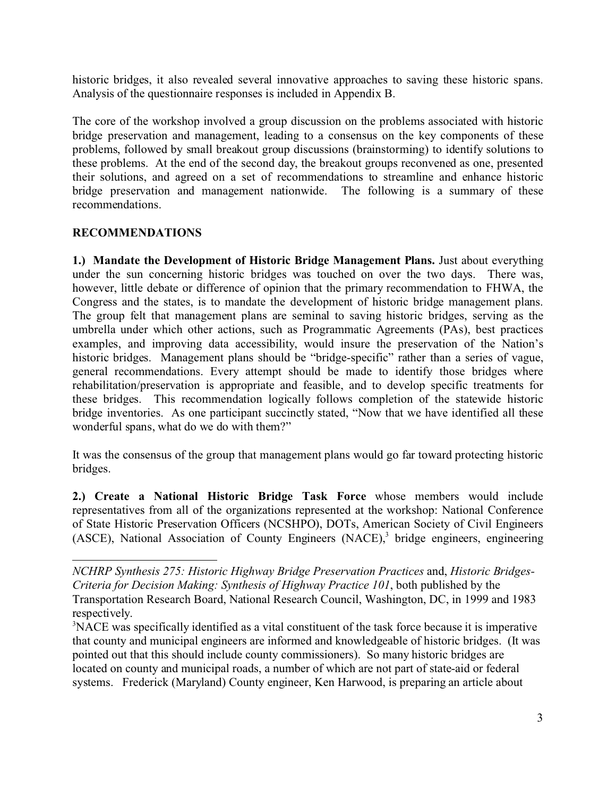historic bridges, it also revealed several innovative approaches to saving these historic spans. Analysis of the questionnaire responses is included in Appendix B.

The core of the workshop involved a group discussion on the problems associated with historic bridge preservation and management, leading to a consensus on the key components of these problems, followed by small breakout group discussions (brainstorming) to identify solutions to these problems. At the end of the second day, the breakout groups reconvened as one, presented their solutions, and agreed on a set of recommendations to streamline and enhance historic bridge preservation and management nationwide. The following is a summary of these recommendations.

# **RECOMMENDATIONS**

**1.) Mandate the Development of Historic Bridge Management Plans.** Just about everything under the sun concerning historic bridges was touched on over the two days. There was, however, little debate or difference of opinion that the primary recommendation to FHWA, the Congress and the states, is to mandate the development of historic bridge management plans. The group felt that management plans are seminal to saving historic bridges, serving as the umbrella under which other actions, such as Programmatic Agreements (PAs), best practices examples, and improving data accessibility, would insure the preservation of the Nation's historic bridges. Management plans should be "bridge-specific" rather than a series of vague, general recommendations. Every attempt should be made to identify those bridges where rehabilitation/preservation is appropriate and feasible, and to develop specific treatments for these bridges. This recommendation logically follows completion of the statewide historic bridge inventories. As one participant succinctly stated, "Now that we have identified all these wonderful spans, what do we do with them?"

It was the consensus of the group that management plans would go far toward protecting historic bridges.

**2.) Create a National Historic Bridge Task Force** whose members would include representatives from all of the organizations represented at the workshop: National Conference of State Historic Preservation Officers (NCSHPO), DOTs, American Society of Civil Engineers (ASCE), National Association of County Engineers (NACE),<sup>3</sup> bridge engineers, engineering

*NCHRP Synthesis 275: Historic Highway Bridge Preservation Practices* and, *Historic Bridges-Criteria for Decision Making: Synthesis of Highway Practice 101*, both published by the Transportation Research Board, National Research Council, Washington, DC, in 1999 and 1983 respectively.

<sup>&</sup>lt;sup>3</sup>NACE was specifically identified as a vital constituent of the task force because it is imperative that county and municipal engineers are informed and knowledgeable of historic bridges. (It was pointed out that this should include county commissioners). So many historic bridges are located on county and municipal roads, a number of which are not part of state-aid or federal systems.Frederick (Maryland) County engineer, Ken Harwood, is preparing an article about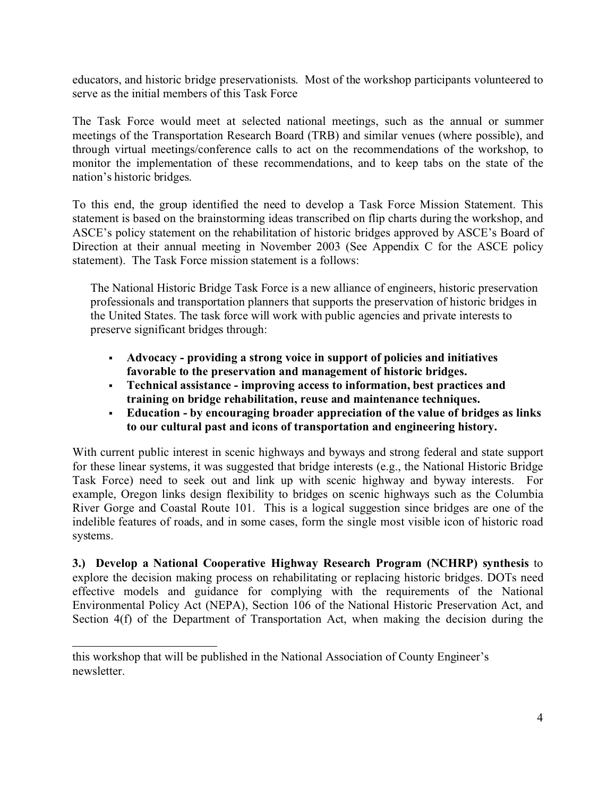educators, and historic bridge preservationists. Most of the workshop participants volunteered to serve as the initial members of this Task Force

The Task Force would meet at selected national meetings, such as the annual or summer meetings of the Transportation Research Board (TRB) and similar venues (where possible), and through virtual meetings/conference calls to act on the recommendations of the workshop, to monitor the implementation of these recommendations, and to keep tabs on the state of the nation's historic bridges.

To this end, the group identified the need to develop a Task Force Mission Statement. This statement is based on the brainstorming ideas transcribed on flip charts during the workshop, and ASCE's policy statement on the rehabilitation of historic bridges approved by ASCE's Board of Direction at their annual meeting in November 2003 (See Appendix C for the ASCE policy statement). The Task Force mission statement is a follows:

The National Historic Bridge Task Force is a new alliance of engineers, historic preservation professionals and transportation planners that supports the preservation of historic bridges in the United States. The task force will work with public agencies and private interests to preserve significant bridges through:

- § **Advocacy providing a strong voice in support of policies and initiatives favorable to the preservation and management of historic bridges.**
- § **Technical assistance improving access to information, best practices and training on bridge rehabilitation, reuse and maintenance techniques.**
- § **Education by encouraging broader appreciation of the value of bridges as links to our cultural past and icons of transportation and engineering history.**

With current public interest in scenic highways and byways and strong federal and state support for these linear systems, it was suggested that bridge interests (e.g., the National Historic Bridge Task Force) need to seek out and link up with scenic highway and byway interests. For example, Oregon links design flexibility to bridges on scenic highways such as the Columbia River Gorge and Coastal Route 101. This is a logical suggestion since bridges are one of the indelible features of roads, and in some cases, form the single most visible icon of historic road systems.

**3.) Develop a National Cooperative Highway Research Program (NCHRP) synthesis** to explore the decision making process on rehabilitating or replacing historic bridges. DOTs need effective models and guidance for complying with the requirements of the National Environmental Policy Act (NEPA), Section 106 of the National Historic Preservation Act, and Section 4(f) of the Department of Transportation Act, when making the decision during the

this workshop that will be published in the National Association of County Engineer's newsletter.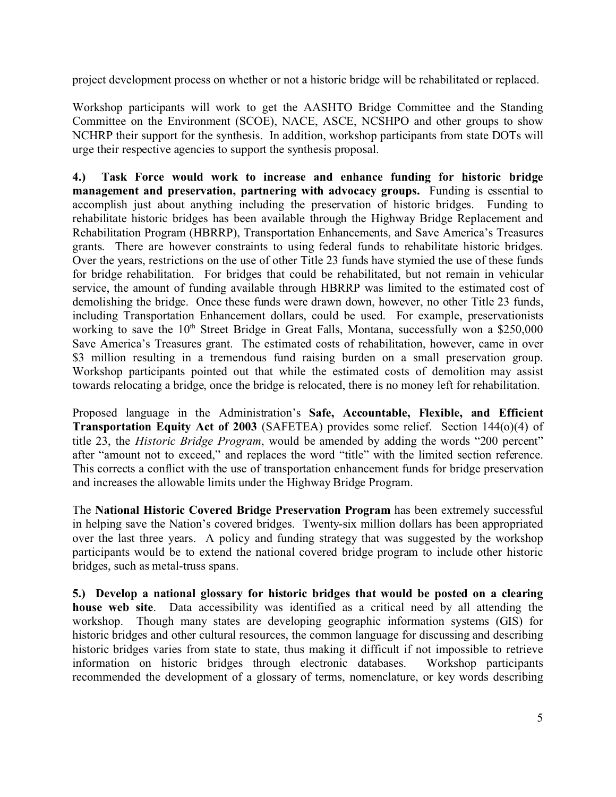project development process on whether or not a historic bridge will be rehabilitated or replaced.

Workshop participants will work to get the AASHTO Bridge Committee and the Standing Committee on the Environment (SCOE), NACE, ASCE, NCSHPO and other groups to show NCHRP their support for the synthesis. In addition, workshop participants from state DOTs will urge their respective agencies to support the synthesis proposal.

**4.) Task Force would work to increase and enhance funding for historic bridge management and preservation, partnering with advocacy groups.** Funding is essential to accomplish just about anything including the preservation of historic bridges. Funding to rehabilitate historic bridges has been available through the Highway Bridge Replacement and Rehabilitation Program (HBRRP), Transportation Enhancements, and Save America's Treasures grants. There are however constraints to using federal funds to rehabilitate historic bridges. Over the years, restrictions on the use of other Title 23 funds have stymied the use of these funds for bridge rehabilitation. For bridges that could be rehabilitated, but not remain in vehicular service, the amount of funding available through HBRRP was limited to the estimated cost of demolishing the bridge. Once these funds were drawn down, however, no other Title 23 funds, including Transportation Enhancement dollars, could be used. For example, preservationists working to save the 10<sup>th</sup> Street Bridge in Great Falls, Montana, successfully won a \$250,000 Save America's Treasures grant. The estimated costs of rehabilitation, however, came in over \$3 million resulting in a tremendous fund raising burden on a small preservation group. Workshop participants pointed out that while the estimated costs of demolition may assist towards relocating a bridge, once the bridge is relocated, there is no money left for rehabilitation.

Proposed language in the Administration's **Safe, Accountable, Flexible, and Efficient Transportation Equity Act of 2003** (SAFETEA) provides some relief. Section 144(o)(4) of title 23, the *Historic Bridge Program*, would be amended by adding the words "200 percent" after "amount not to exceed," and replaces the word "title" with the limited section reference. This corrects a conflict with the use of transportation enhancement funds for bridge preservation and increases the allowable limits under the Highway Bridge Program.

The **National Historic Covered Bridge Preservation Program** has been extremely successful in helping save the Nation's covered bridges. Twenty-six million dollars has been appropriated over the last three years. A policy and funding strategy that was suggested by the workshop participants would be to extend the national covered bridge program to include other historic bridges, such as metal-truss spans.

**5.) Develop a national glossary for historic bridges that would be posted on a clearing house web site**. Data accessibility was identified as a critical need by all attending the workshop. Though many states are developing geographic information systems (GIS) for historic bridges and other cultural resources, the common language for discussing and describing historic bridges varies from state to state, thus making it difficult if not impossible to retrieve information on historic bridges through electronic databases. Workshop participants recommended the development of a glossary of terms, nomenclature, or key words describing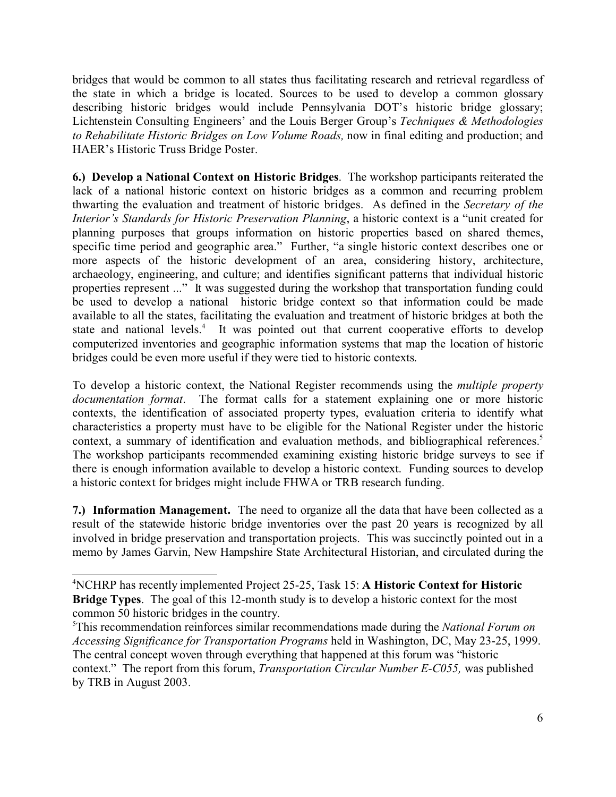bridges that would be common to all states thus facilitating research and retrieval regardless of the state in which a bridge is located. Sources to be used to develop a common glossary describing historic bridges would include Pennsylvania DOT's historic bridge glossary; Lichtenstein Consulting Engineers' and the Louis Berger Group's *Techniques & Methodologies to Rehabilitate Historic Bridges on Low Volume Roads,* now in final editing and production; and HAER's Historic Truss Bridge Poster.

**6.) Develop a National Context on Historic Bridges**. The workshop participants reiterated the lack of a national historic context on historic bridges as a common and recurring problem thwarting the evaluation and treatment of historic bridges. As defined in the *Secretary of the Interior's Standards for Historic Preservation Planning*, a historic context is a "unit created for planning purposes that groups information on historic properties based on shared themes, specific time period and geographic area." Further, "a single historic context describes one or more aspects of the historic development of an area, considering history, architecture, archaeology, engineering, and culture; and identifies significant patterns that individual historic properties represent ..." It was suggested during the workshop that transportation funding could be used to develop a national historic bridge context so that information could be made available to all the states, facilitating the evaluation and treatment of historic bridges at both the state and national levels.<sup>4</sup> It was pointed out that current cooperative efforts to develop computerized inventories and geographic information systems that map the location of historic bridges could be even more useful if they were tied to historic contexts.

To develop a historic context, the National Register recommends using the *multiple property documentation format*. The format calls for a statement explaining one or more historic contexts, the identification of associated property types, evaluation criteria to identify what characteristics a property must have to be eligible for the National Register under the historic context, a summary of identification and evaluation methods, and bibliographical references.<sup>5</sup> The workshop participants recommended examining existing historic bridge surveys to see if there is enough information available to develop a historic context. Funding sources to develop a historic context for bridges might include FHWA or TRB research funding.

**7.) Information Management.** The need to organize all the data that have been collected as a result of the statewide historic bridge inventories over the past 20 years is recognized by all involved in bridge preservation and transportation projects. This was succinctly pointed out in a memo by James Garvin, New Hampshire State Architectural Historian, and circulated during the

<sup>4</sup>NCHRP has recently implemented Project 25-25, Task 15: **A Historic Context for Historic Bridge Types**. The goal of this 12-month study is to develop a historic context for the most common 50 historic bridges in the country.

<sup>5</sup>This recommendation reinforces similar recommendations made during the *National Forum on Accessing Significance for Transportation Programs* held in Washington, DC, May 23-25, 1999. The central concept woven through everything that happened at this forum was "historic context." The report from this forum, *Transportation Circular Number E-C055,* was published by TRB in August 2003.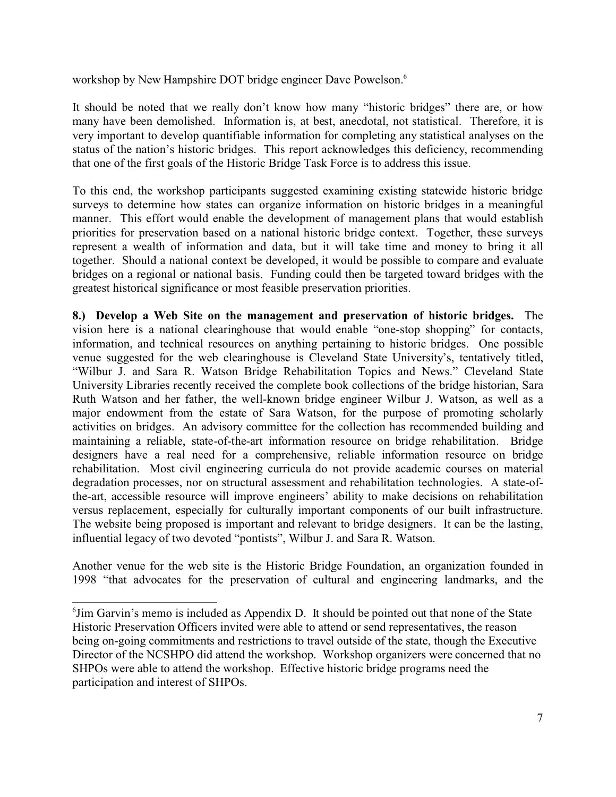workshop by New Hampshire DOT bridge engineer Dave Powelson.<sup>6</sup>

It should be noted that we really don't know how many "historic bridges" there are, or how many have been demolished. Information is, at best, anecdotal, not statistical. Therefore, it is very important to develop quantifiable information for completing any statistical analyses on the status of the nation's historic bridges. This report acknowledges this deficiency, recommending that one of the first goals of the Historic Bridge Task Force is to address this issue.

To this end, the workshop participants suggested examining existing statewide historic bridge surveys to determine how states can organize information on historic bridges in a meaningful manner. This effort would enable the development of management plans that would establish priorities for preservation based on a national historic bridge context. Together, these surveys represent a wealth of information and data, but it will take time and money to bring it all together. Should a national context be developed, it would be possible to compare and evaluate bridges on a regional or national basis. Funding could then be targeted toward bridges with the greatest historical significance or most feasible preservation priorities.

**8.) Develop a Web Site on the management and preservation of historic bridges.** The vision here is a national clearinghouse that would enable "one-stop shopping" for contacts, information, and technical resources on anything pertaining to historic bridges. One possible venue suggested for the web clearinghouse is Cleveland State University's, tentatively titled, "Wilbur J. and Sara R. Watson Bridge Rehabilitation Topics and News." Cleveland State University Libraries recently received the complete book collections of the bridge historian, Sara Ruth Watson and her father, the well-known bridge engineer Wilbur J. Watson, as well as a major endowment from the estate of Sara Watson, for the purpose of promoting scholarly activities on bridges. An advisory committee for the collection has recommended building and maintaining a reliable, state-of-the-art information resource on bridge rehabilitation. Bridge designers have a real need for a comprehensive, reliable information resource on bridge rehabilitation. Most civil engineering curricula do not provide academic courses on material degradation processes, nor on structural assessment and rehabilitation technologies. A state-ofthe-art, accessible resource will improve engineers' ability to make decisions on rehabilitation versus replacement, especially for culturally important components of our built infrastructure. The website being proposed is important and relevant to bridge designers. It can be the lasting, influential legacy of two devoted "pontists", Wilbur J. and Sara R. Watson.

Another venue for the web site is the Historic Bridge Foundation, an organization founded in 1998 "that advocates for the preservation of cultural and engineering landmarks, and the

<sup>&</sup>lt;sup>6</sup> Jim Garvin's memo is included as Appendix D. It should be pointed out that none of the State Historic Preservation Officers invited were able to attend or send representatives, the reason being on-going commitments and restrictions to travel outside of the state, though the Executive Director of the NCSHPO did attend the workshop. Workshop organizers were concerned that no SHPOs were able to attend the workshop. Effective historic bridge programs need the participation and interest of SHPOs.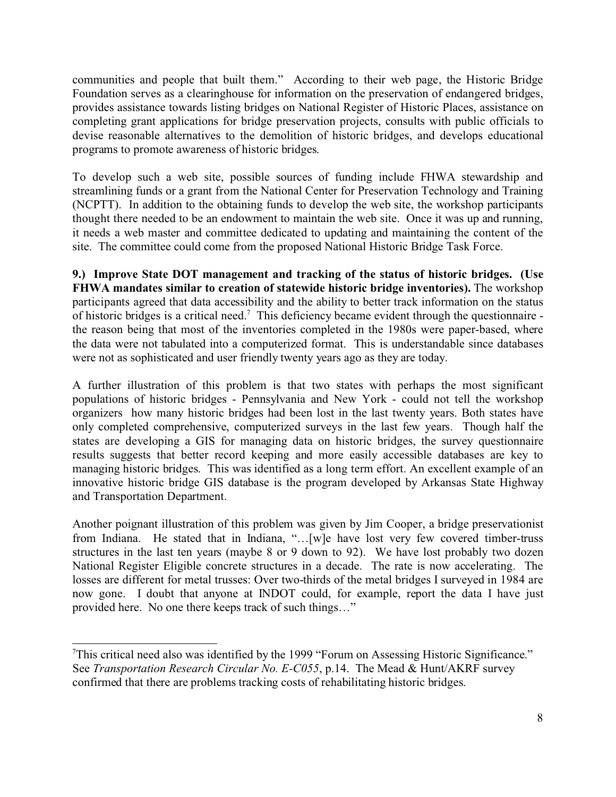communities and people that built them." According to their web page, the Historic Bridge Foundation serves as a clearinghouse for information on the preservation of endangered bridges, provides assistance towards listing bridges on National Register of Historic Places, assistance on completing grant applications for bridge preservation projects, consults with public officials to devise reasonable alternatives to the demolition of historic bridges, and develops educational programs to promote awareness of historic bridges.

To develop such a web site, possible sources of funding include FHWA stewardship and streamlining funds or a grant from the National Center for Preservation Technology and Training (NCPTT). In addition to the obtaining funds to develop the web site, the workshop participants thought there needed to be an endowment to maintain the web site. Once it was up and running, it needs a web master and committee dedicated to updating and maintaining the content of the site. The committee could come from the proposed National Historic Bridge Task Force.

**9.) Improve State DOT management and tracking of the status of historic bridges. (Use FHWA mandates similar to creation of statewide historic bridge inventories).** The workshop participants agreed that data accessibility and the ability to better track information on the status of historic bridges is a critical need.<sup>7</sup> This deficiency became evident through the questionnaire the reason being that most of the inventories completed in the 1980s were paper-based, where the data were not tabulated into a computerized format. This is understandable since databases were not as sophisticated and user friendly twenty years ago as they are today.

A further illustration of this problem is that two states with perhaps the most significant populations of historic bridges - Pennsylvania and New York - could not tell the workshop organizers how many historic bridges had been lost in the last twenty years. Both states have only completed comprehensive, computerized surveys in the last few years. Though half the states are developing a GIS for managing data on historic bridges, the survey questionnaire results suggests that better record keeping and more easily accessible databases are key to managing historic bridges. This was identified as a long term effort. An excellent example of an innovative historic bridge GIS database is the program developed by Arkansas State Highway and Transportation Department.

Another poignant illustration of this problem was given by Jim Cooper, a bridge preservationist from Indiana. He stated that in Indiana, "…[w]e have lost very few covered timber-truss structures in the last ten years (maybe 8 or 9 down to 92). We have lost probably two dozen National Register Eligible concrete structures in a decade. The rate is now accelerating. The losses are different for metal trusses: Over two-thirds of the metal bridges I surveyed in 1984 are now gone. I doubt that anyone at INDOT could, for example, report the data I have just provided here. No one there keeps track of such things…"

 $T$ This critical need also was identified by the 1999 "Forum on Assessing Historic Significance." See *Transportation Research Circular No. E-C055*, p.14. The Mead & Hunt/AKRF survey confirmed that there are problems tracking costs of rehabilitating historic bridges.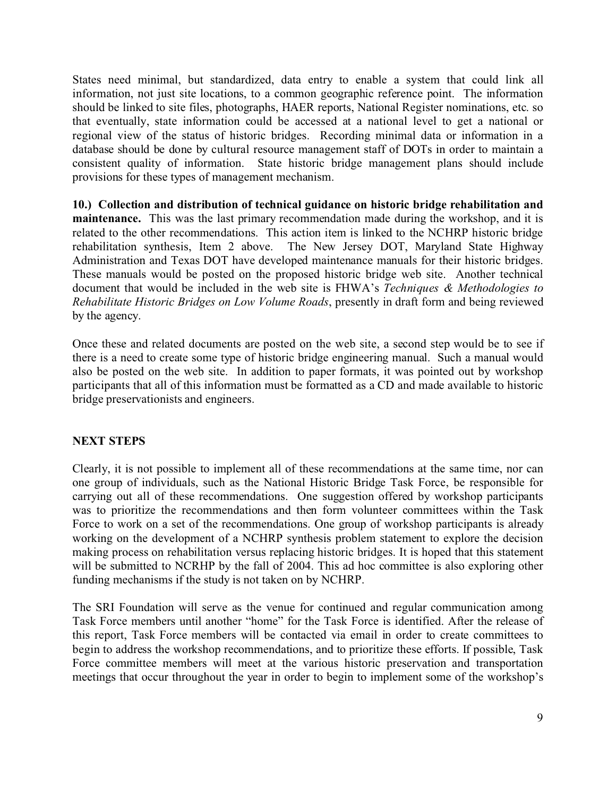States need minimal, but standardized, data entry to enable a system that could link all information, not just site locations, to a common geographic reference point. The information should be linked to site files, photographs, HAER reports, National Register nominations, etc. so that eventually, state information could be accessed at a national level to get a national or regional view of the status of historic bridges. Recording minimal data or information in a database should be done by cultural resource management staff of DOTs in order to maintain a consistent quality of information. State historic bridge management plans should include provisions for these types of management mechanism.

**10.) Collection and distribution of technical guidance on historic bridge rehabilitation and maintenance.** This was the last primary recommendation made during the workshop, and it is related to the other recommendations. This action item is linked to the NCHRP historic bridge rehabilitation synthesis, Item 2 above. The New Jersey DOT, Maryland State Highway Administration and Texas DOT have developed maintenance manuals for their historic bridges. These manuals would be posted on the proposed historic bridge web site. Another technical document that would be included in the web site is FHWA's *Techniques & Methodologies to Rehabilitate Historic Bridges on Low Volume Roads*, presently in draft form and being reviewed by the agency.

Once these and related documents are posted on the web site, a second step would be to see if there is a need to create some type of historic bridge engineering manual. Such a manual would also be posted on the web site. In addition to paper formats, it was pointed out by workshop participants that all of this information must be formatted as a CD and made available to historic bridge preservationists and engineers.

# **NEXT STEPS**

Clearly, it is not possible to implement all of these recommendations at the same time, nor can one group of individuals, such as the National Historic Bridge Task Force, be responsible for carrying out all of these recommendations. One suggestion offered by workshop participants was to prioritize the recommendations and then form volunteer committees within the Task Force to work on a set of the recommendations. One group of workshop participants is already working on the development of a NCHRP synthesis problem statement to explore the decision making process on rehabilitation versus replacing historic bridges. It is hoped that this statement will be submitted to NCRHP by the fall of 2004. This ad hoc committee is also exploring other funding mechanisms if the study is not taken on by NCHRP.

The SRI Foundation will serve as the venue for continued and regular communication among Task Force members until another "home" for the Task Force is identified. After the release of this report, Task Force members will be contacted via email in order to create committees to begin to address the workshop recommendations, and to prioritize these efforts. If possible, Task Force committee members will meet at the various historic preservation and transportation meetings that occur throughout the year in order to begin to implement some of the workshop's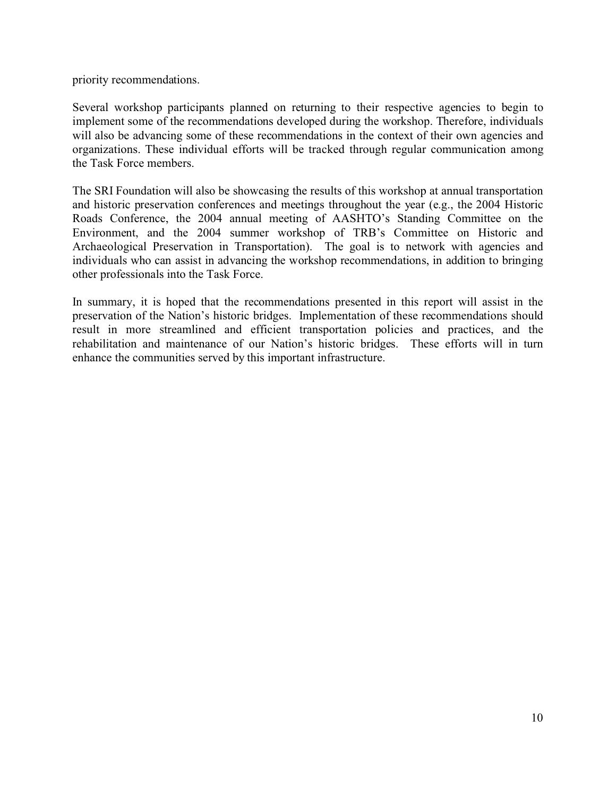priority recommendations.

Several workshop participants planned on returning to their respective agencies to begin to implement some of the recommendations developed during the workshop. Therefore, individuals will also be advancing some of these recommendations in the context of their own agencies and organizations. These individual efforts will be tracked through regular communication among the Task Force members.

The SRI Foundation will also be showcasing the results of this workshop at annual transportation and historic preservation conferences and meetings throughout the year (e.g., the 2004 Historic Roads Conference, the 2004 annual meeting of AASHTO's Standing Committee on the Environment, and the 2004 summer workshop of TRB's Committee on Historic and Archaeological Preservation in Transportation). The goal is to network with agencies and individuals who can assist in advancing the workshop recommendations, in addition to bringing other professionals into the Task Force.

In summary, it is hoped that the recommendations presented in this report will assist in the preservation of the Nation's historic bridges. Implementation of these recommendations should result in more streamlined and efficient transportation policies and practices, and the rehabilitation and maintenance of our Nation's historic bridges. These efforts will in turn enhance the communities served by this important infrastructure.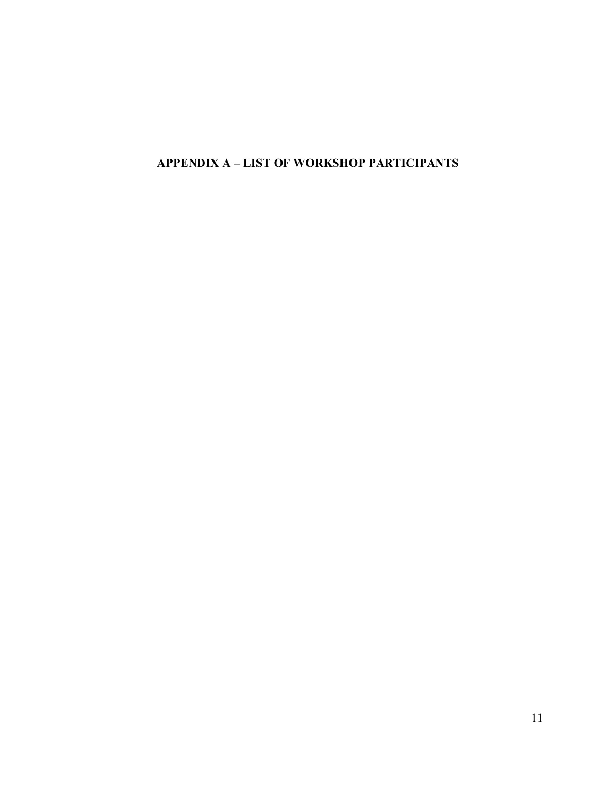**APPENDIX A – LIST OF WORKSHOP PARTICIPANTS**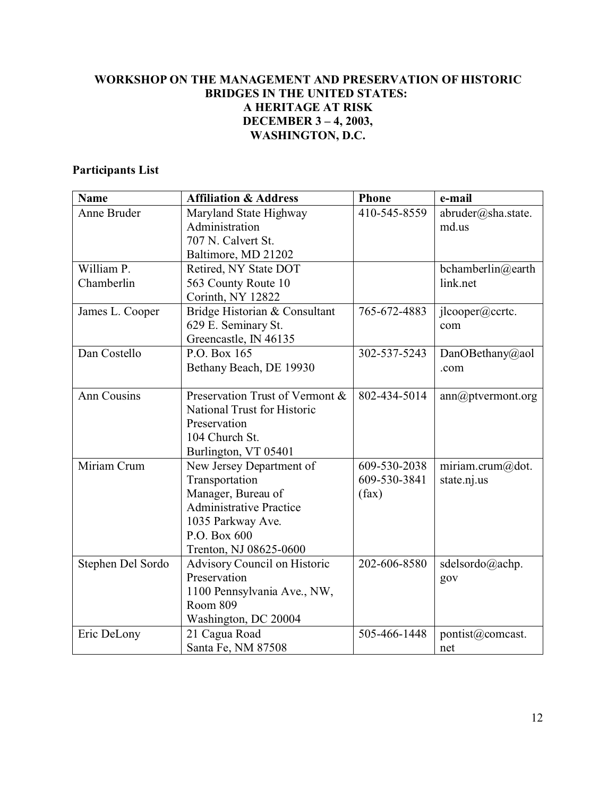# **WORKSHOP ON THE MANAGEMENT AND PRESERVATION OF HISTORIC BRIDGES IN THE UNITED STATES: A HERITAGE AT RISK DECEMBER 3 – 4, 2003, WASHINGTON, D.C.**

# **Participants List**

| <b>Name</b>       | <b>Affiliation &amp; Address</b>    | <b>Phone</b> | e-mail             |
|-------------------|-------------------------------------|--------------|--------------------|
| Anne Bruder       | Maryland State Highway              | 410-545-8559 | abruder@sha.state. |
|                   | Administration                      |              | md.us              |
|                   | 707 N. Calvert St.                  |              |                    |
|                   | Baltimore, MD 21202                 |              |                    |
| William P.        | Retired, NY State DOT               |              | bchamberlin@earth  |
| Chamberlin        | 563 County Route 10                 |              | link.net           |
|                   | Corinth, NY 12822                   |              |                    |
| James L. Cooper   | Bridge Historian & Consultant       | 765-672-4883 | jlcooper@ccrtc.    |
|                   | 629 E. Seminary St.                 |              | com                |
|                   | Greencastle, IN 46135               |              |                    |
| Dan Costello      | P.O. Box 165                        | 302-537-5243 | DanOBethany@aol    |
|                   | Bethany Beach, DE 19930             |              | .com               |
|                   |                                     |              |                    |
| Ann Cousins       | Preservation Trust of Vermont &     | 802-434-5014 | ann@ptvermont.org  |
|                   | National Trust for Historic         |              |                    |
|                   | Preservation                        |              |                    |
|                   | 104 Church St.                      |              |                    |
|                   | Burlington, VT 05401                |              |                    |
| Miriam Crum       | New Jersey Department of            | 609-530-2038 | miriam.crum@dot.   |
|                   | Transportation                      | 609-530-3841 | state.nj.us        |
|                   | Manager, Bureau of                  | (fax)        |                    |
|                   | <b>Administrative Practice</b>      |              |                    |
|                   | 1035 Parkway Ave.                   |              |                    |
|                   | P.O. Box 600                        |              |                    |
|                   | Trenton, NJ 08625-0600              |              |                    |
| Stephen Del Sordo | <b>Advisory Council on Historic</b> | 202-606-8580 | sdelsordo@achp.    |
|                   | Preservation                        |              | gov                |
|                   | 1100 Pennsylvania Ave., NW,         |              |                    |
|                   | Room 809                            |              |                    |
|                   | Washington, DC 20004                |              |                    |
| Eric DeLony       | 21 Cagua Road                       | 505-466-1448 | pontist@comcast.   |
|                   | Santa Fe, NM 87508                  |              | net                |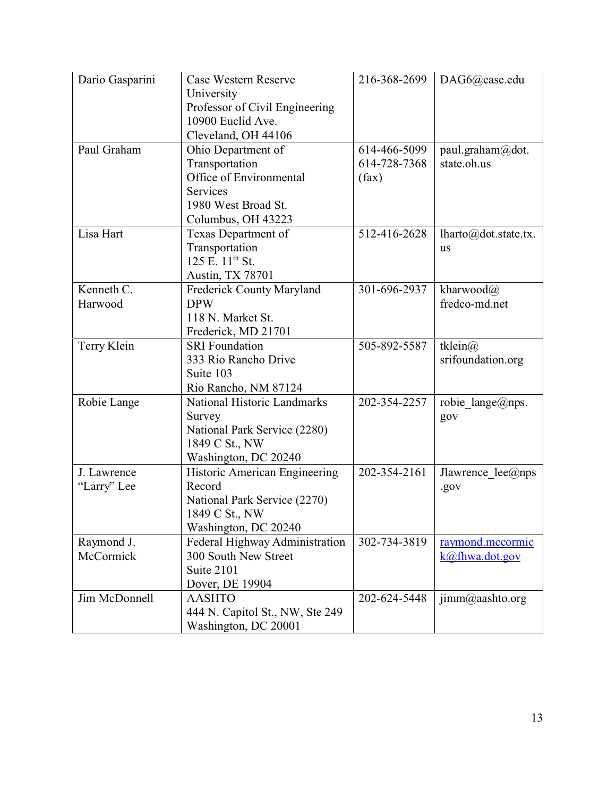| Dario Gasparini | Case Western Reserve            | 216-368-2699 | DAG6@case.edu                        |
|-----------------|---------------------------------|--------------|--------------------------------------|
|                 | University                      |              |                                      |
|                 | Professor of Civil Engineering  |              |                                      |
|                 | 10900 Euclid Ave.               |              |                                      |
|                 | Cleveland, OH 44106             |              |                                      |
| Paul Graham     | Ohio Department of              | 614-466-5099 | paul.graham@dot.                     |
|                 | Transportation                  | 614-728-7368 | state.oh.us                          |
|                 | Office of Environmental         | (fax)        |                                      |
|                 | Services                        |              |                                      |
|                 | 1980 West Broad St.             |              |                                      |
|                 | Columbus, OH 43223              |              |                                      |
| Lisa Hart       | Texas Department of             | 512-416-2628 | $lharto(\partial\phi)$ dot.state.tx. |
|                 | Transportation                  |              | <b>us</b>                            |
|                 | 125 E. 11 <sup>th</sup> St.     |              |                                      |
|                 | Austin, TX 78701                |              |                                      |
| Kenneth C.      | Frederick County Maryland       | 301-696-2937 | kharwood $\omega$                    |
| Harwood         | <b>DPW</b>                      |              | fredco-md.net                        |
|                 | 118 N. Market St.               |              |                                      |
|                 | Frederick, MD 21701             |              |                                      |
| Terry Klein     | <b>SRI</b> Foundation           | 505-892-5587 | tklein@                              |
|                 | 333 Rio Rancho Drive            |              | srifoundation.org                    |
|                 | Suite 103                       |              |                                      |
|                 | Rio Rancho, NM 87124            |              |                                      |
| Robie Lange     | National Historic Landmarks     | 202-354-2257 | robie lange@nps.                     |
|                 | Survey                          |              | gov                                  |
|                 | National Park Service (2280)    |              |                                      |
|                 | 1849 C St., NW                  |              |                                      |
|                 | Washington, DC 20240            |              |                                      |
| J. Lawrence     | Historic American Engineering   | 202-354-2161 | Jlawrence $lee(\omega)$ nps          |
| "Larry" Lee     | Record                          |              | .gov                                 |
|                 | National Park Service (2270)    |              |                                      |
|                 | 1849 C St., NW                  |              |                                      |
|                 | Washington, DC 20240            |              |                                      |
| Raymond J.      | Federal Highway Administration  | 302-734-3819 | raymond.mccormic                     |
| McCormick       | 300 South New Street            |              | k@fhwa.dot.gov                       |
|                 | Suite 2101                      |              |                                      |
|                 | Dover, DE 19904                 |              |                                      |
| Jim McDonnell   | <b>AASHTO</b>                   | 202-624-5448 | $\text{jimm}(a)$ aashto.org          |
|                 | 444 N. Capitol St., NW, Ste 249 |              |                                      |
|                 | Washington, DC 20001            |              |                                      |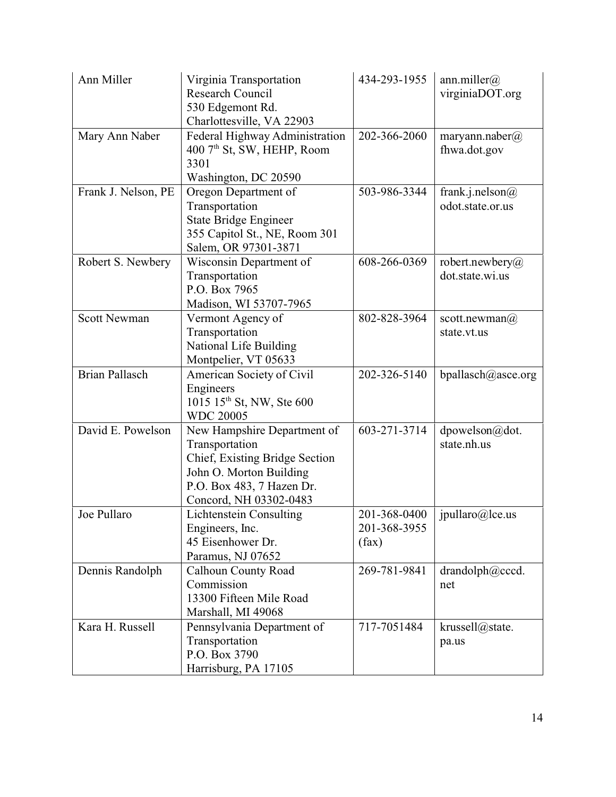| Ann Miller            | Virginia Transportation<br>Research Council<br>530 Edgemont Rd.<br>Charlottesville, VA 22903                                                                      | 434-293-1955                          | ann.miller $(a)$<br>virginiaDOT.org        |
|-----------------------|-------------------------------------------------------------------------------------------------------------------------------------------------------------------|---------------------------------------|--------------------------------------------|
| Mary Ann Naber        | Federal Highway Administration<br>400 7th St, SW, HEHP, Room<br>3301<br>Washington, DC 20590                                                                      | 202-366-2060                          | maryann.naber(a)<br>fhwa.dot.gov           |
| Frank J. Nelson, PE   | Oregon Department of<br>Transportation<br><b>State Bridge Engineer</b><br>355 Capitol St., NE, Room 301<br>Salem, OR 97301-3871                                   | 503-986-3344                          | frank.j.nelson@<br>odot.state.or.us        |
| Robert S. Newbery     | Wisconsin Department of<br>Transportation<br>P.O. Box 7965<br>Madison, WI 53707-7965                                                                              | 608-266-0369                          | robert.newbery $\omega$<br>dot.state.wi.us |
| <b>Scott Newman</b>   | Vermont Agency of<br>Transportation<br>National Life Building<br>Montpelier, VT 05633                                                                             | 802-828-3964                          | scott.newman $\omega$<br>state.vt.us       |
| <b>Brian Pallasch</b> | American Society of Civil<br>Engineers<br>1015 15 <sup>th</sup> St, NW, Ste 600<br><b>WDC 20005</b>                                                               | 202-326-5140                          | bpallasch@asce.org                         |
| David E. Powelson     | New Hampshire Department of<br>Transportation<br>Chief, Existing Bridge Section<br>John O. Morton Building<br>P.O. Box 483, 7 Hazen Dr.<br>Concord, NH 03302-0483 | 603-271-3714                          | dpowelson@dot.<br>state.nh.us              |
| Joe Pullaro           | Lichtenstein Consulting<br>Engineers, Inc.<br>45 Eisenhower Dr.<br>Paramus, NJ 07652                                                                              | 201-368-0400<br>201-368-3955<br>(fax) | jpullaro@lce.us                            |
| Dennis Randolph       | <b>Calhoun County Road</b><br>Commission<br>13300 Fifteen Mile Road<br>Marshall, MI 49068                                                                         | 269-781-9841                          | drandolph@cccd.<br>net                     |
| Kara H. Russell       | Pennsylvania Department of<br>Transportation<br>P.O. Box 3790<br>Harrisburg, PA 17105                                                                             | 717-7051484                           | krussell@state.<br>pa.us                   |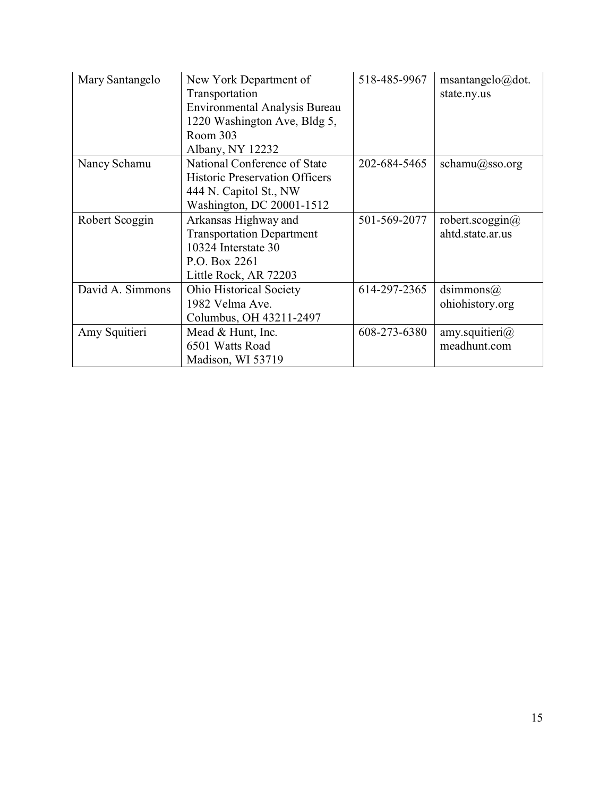| Mary Santangelo  | New York Department of<br>Transportation<br><b>Environmental Analysis Bureau</b><br>1220 Washington Ave, Bldg 5,<br>Room 303<br>Albany, NY 12232 | 518-485-9967 | msantangelo@dot.<br>state.ny.us             |
|------------------|--------------------------------------------------------------------------------------------------------------------------------------------------|--------------|---------------------------------------------|
| Nancy Schamu     | National Conference of State<br><b>Historic Preservation Officers</b><br>444 N. Capitol St., NW<br>Washington, DC 20001-1512                     | 202-684-5465 | schamu@sso.org                              |
| Robert Scoggin   | Arkansas Highway and<br><b>Transportation Department</b><br>10324 Interstate 30<br>P.O. Box 2261<br>Little Rock, AR 72203                        | 501-569-2077 | robert.scoggin $\omega$<br>ahtd.state.ar.us |
| David A. Simmons | <b>Ohio Historical Society</b><br>1982 Velma Ave.<br>Columbus, OH 43211-2497                                                                     | 614-297-2365 | dsimmons $(a)$<br>ohiohistory.org           |
| Amy Squitieri    | Mead & Hunt, Inc.<br>6501 Watts Road<br>Madison, WI 53719                                                                                        | 608-273-6380 | amy.squitieri $\omega$<br>meadhunt.com      |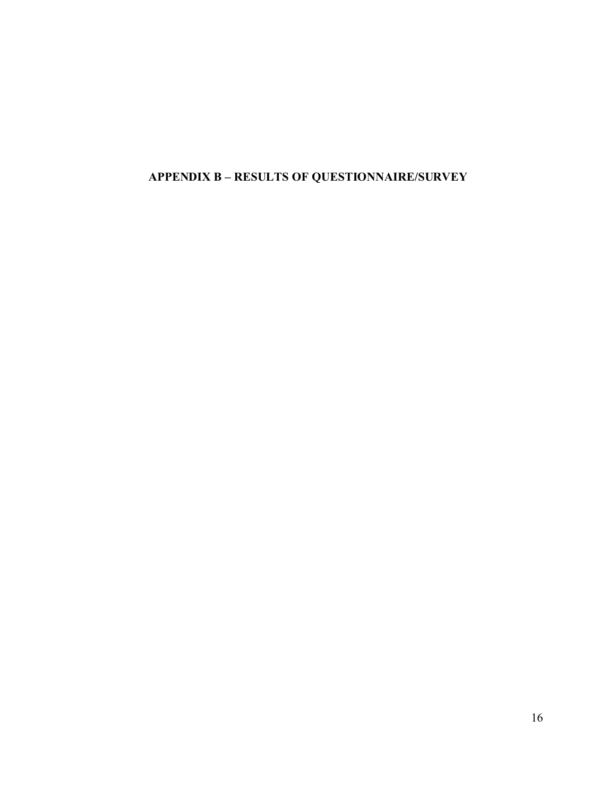# **APPENDIX B – RESULTS OF QUESTIONNAIRE/SURVEY**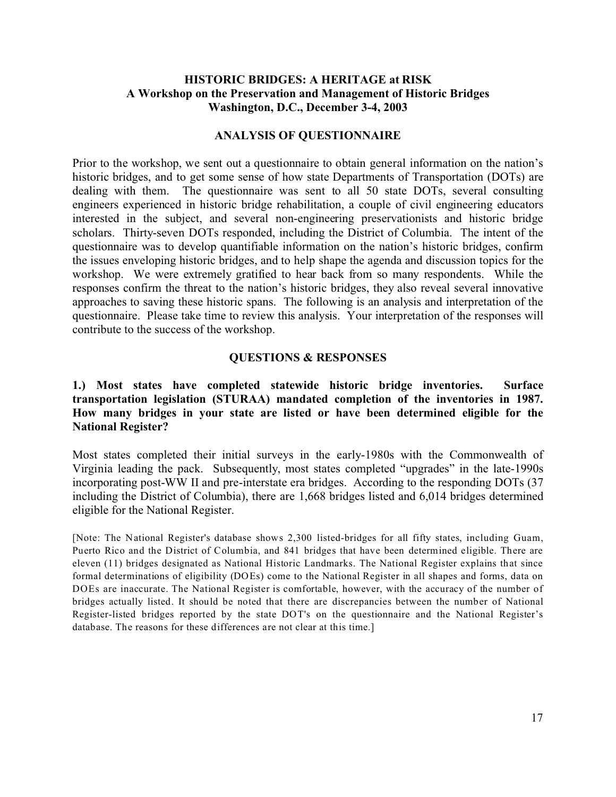# **HISTORIC BRIDGES: A HERITAGE at RISK A Workshop on the Preservation and Management of Historic Bridges Washington, D.C., December 3-4, 2003**

#### **ANALYSIS OF QUESTIONNAIRE**

Prior to the workshop, we sent out a questionnaire to obtain general information on the nation's historic bridges, and to get some sense of how state Departments of Transportation (DOTs) are dealing with them. The questionnaire was sent to all 50 state DOTs, several consulting engineers experienced in historic bridge rehabilitation, a couple of civil engineering educators interested in the subject, and several non-engineering preservationists and historic bridge scholars. Thirty-seven DOTs responded, including the District of Columbia. The intent of the questionnaire was to develop quantifiable information on the nation's historic bridges, confirm the issues enveloping historic bridges, and to help shape the agenda and discussion topics for the workshop. We were extremely gratified to hear back from so many respondents. While the responses confirm the threat to the nation's historic bridges, they also reveal several innovative approaches to saving these historic spans. The following is an analysis and interpretation of the questionnaire. Please take time to review this analysis. Your interpretation of the responses will contribute to the success of the workshop.

#### **QUESTIONS & RESPONSES**

## **1.) Most states have completed statewide historic bridge inventories. Surface transportation legislation (STURAA) mandated completion of the inventories in 1987. How many bridges in your state are listed or have been determined eligible for the National Register?**

Most states completed their initial surveys in the early-1980s with the Commonwealth of Virginia leading the pack. Subsequently, most states completed "upgrades" in the late-1990s incorporating post-WW II and pre-interstate era bridges. According to the responding DOTs (37 including the District of Columbia), there are 1,668 bridges listed and 6,014 bridges determined eligible for the National Register.

[Note: The National Register's database shows 2,300 listed-bridges for all fifty states, including Guam, Puerto Rico and the District of Columbia, and 841 bridges that have been determined eligible. There are eleven (11) bridges designated as National Historic Landmarks. The National Register explains that since formal determinations of eligibility (DOEs) come to the National Register in all shapes and forms, data on DOEs are inaccurate. The National Register is comfortable, however, with the accuracy of the number of bridges actually listed. It should be noted that there are discrepancies between the number of National Register-listed bridges reported by the state DOT's on the questionnaire and the National Register's database. The reasons for these differences are not clear at this time.]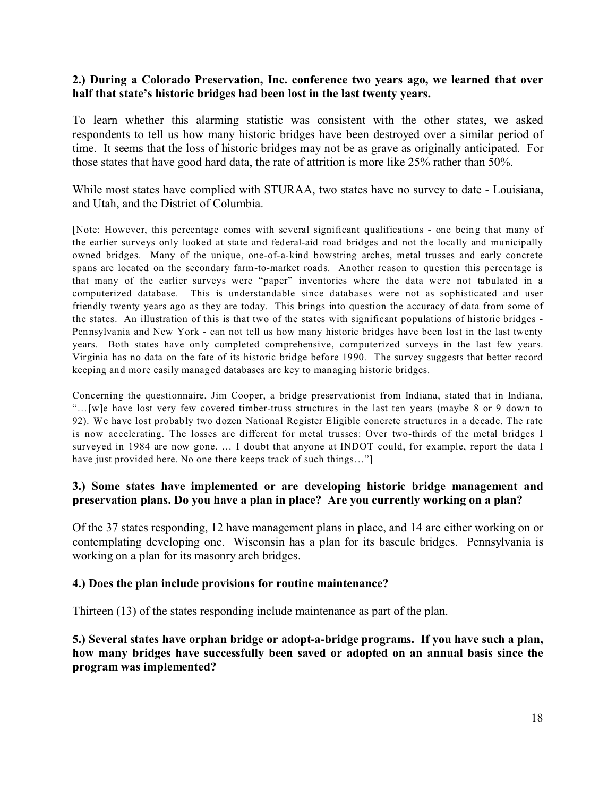#### **2.) During a Colorado Preservation, Inc. conference two years ago, we learned that over half that state's historic bridges had been lost in the last twenty years.**

To learn whether this alarming statistic was consistent with the other states, we asked respondents to tell us how many historic bridges have been destroyed over a similar period of time. It seems that the loss of historic bridges may not be as grave as originally anticipated. For those states that have good hard data, the rate of attrition is more like 25% rather than 50%.

While most states have complied with STURAA, two states have no survey to date - Louisiana, and Utah, and the District of Columbia.

[Note: However, this percentage comes with several significant qualifications - one being that many of the earlier surveys only looked at state and federal-aid road bridges and not the locally and municipally owned bridges. Many of the unique, one-of-a-kind bowstring arches, metal trusses and early concrete spans are located on the secondary farm-to-market roads. Another reason to question this percentage is that many of the earlier surveys were "paper" inventories where the data were not tabulated in a computerized database. This is understandable since databases were not as sophisticated and user friendly twenty years ago as they are today. This brings into question the accuracy of data from some of the states. An illustration of this is that two of the states with significant populations of historic bridges - Pennsylvania and New York - can not tell us how many historic bridges have been lost in the last twenty years. Both states have only completed comprehensive, computerized surveys in the last few years. Virginia has no data on the fate of its historic bridge before 1990. The survey suggests that better record keeping and more easily managed databases are key to managing historic bridges.

Concerning the questionnaire, Jim Cooper, a bridge preservationist from Indiana, stated that in Indiana, "…[w]e have lost very few covered timber-truss structures in the last ten years (maybe 8 or 9 down to 92). We have lost probably two dozen National Register Eligible concrete structures in a decade. The rate is now accelerating. The losses are different for metal trusses: Over two-thirds of the metal bridges I surveyed in 1984 are now gone. … I doubt that anyone at INDOT could, for example, report the data I have just provided here. No one there keeps track of such things..."

# **3.) Some states have implemented or are developing historic bridge management and preservation plans. Do you have a plan in place? Are you currently working on a plan?**

Of the 37 states responding, 12 have management plans in place, and 14 are either working on or contemplating developing one. Wisconsin has a plan for its bascule bridges. Pennsylvania is working on a plan for its masonry arch bridges.

#### **4.) Does the plan include provisions for routine maintenance?**

Thirteen (13) of the states responding include maintenance as part of the plan.

**5.) Several states have orphan bridge or adopt-a-bridge programs. If you have such a plan, how many bridges have successfully been saved or adopted on an annual basis since the program was implemented?**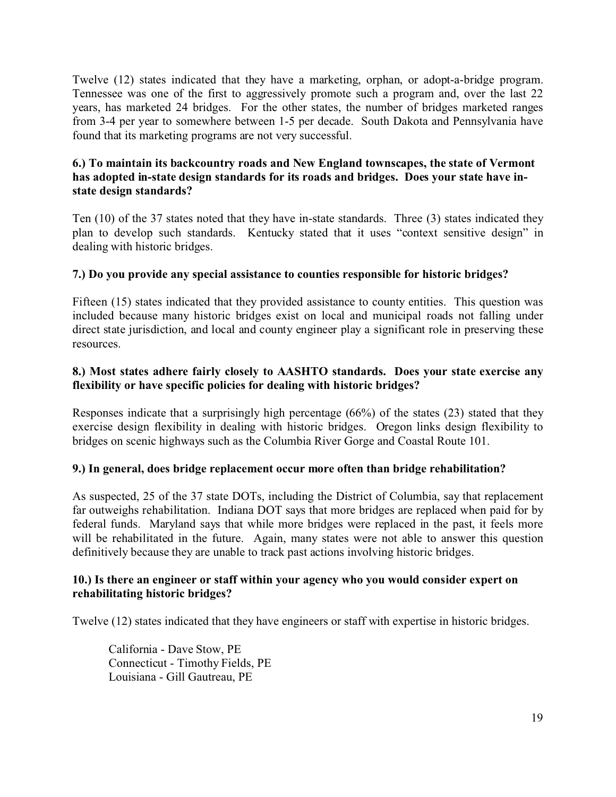Twelve (12) states indicated that they have a marketing, orphan, or adopt-a-bridge program. Tennessee was one of the first to aggressively promote such a program and, over the last 22 years, has marketed 24 bridges. For the other states, the number of bridges marketed ranges from 3-4 per year to somewhere between 1-5 per decade. South Dakota and Pennsylvania have found that its marketing programs are not very successful.

# **6.) To maintain its backcountry roads and New England townscapes, the state of Vermont has adopted in-state design standards for its roads and bridges. Does your state have instate design standards?**

Ten (10) of the 37 states noted that they have in-state standards. Three (3) states indicated they plan to develop such standards. Kentucky stated that it uses "context sensitive design" in dealing with historic bridges.

# **7.) Do you provide any special assistance to counties responsible for historic bridges?**

Fifteen (15) states indicated that they provided assistance to county entities. This question was included because many historic bridges exist on local and municipal roads not falling under direct state jurisdiction, and local and county engineer play a significant role in preserving these resources.

# **8.) Most states adhere fairly closely to AASHTO standards. Does your state exercise any flexibility or have specific policies for dealing with historic bridges?**

Responses indicate that a surprisingly high percentage (66%) of the states (23) stated that they exercise design flexibility in dealing with historic bridges. Oregon links design flexibility to bridges on scenic highways such as the Columbia River Gorge and Coastal Route 101.

#### **9.) In general, does bridge replacement occur more often than bridge rehabilitation?**

As suspected, 25 of the 37 state DOTs, including the District of Columbia, say that replacement far outweighs rehabilitation. Indiana DOT says that more bridges are replaced when paid for by federal funds. Maryland says that while more bridges were replaced in the past, it feels more will be rehabilitated in the future. Again, many states were not able to answer this question definitively because they are unable to track past actions involving historic bridges.

#### **10.) Is there an engineer or staff within your agency who you would consider expert on rehabilitating historic bridges?**

Twelve (12) states indicated that they have engineers or staff with expertise in historic bridges.

California - Dave Stow, PE Connecticut - Timothy Fields, PE Louisiana - Gill Gautreau, PE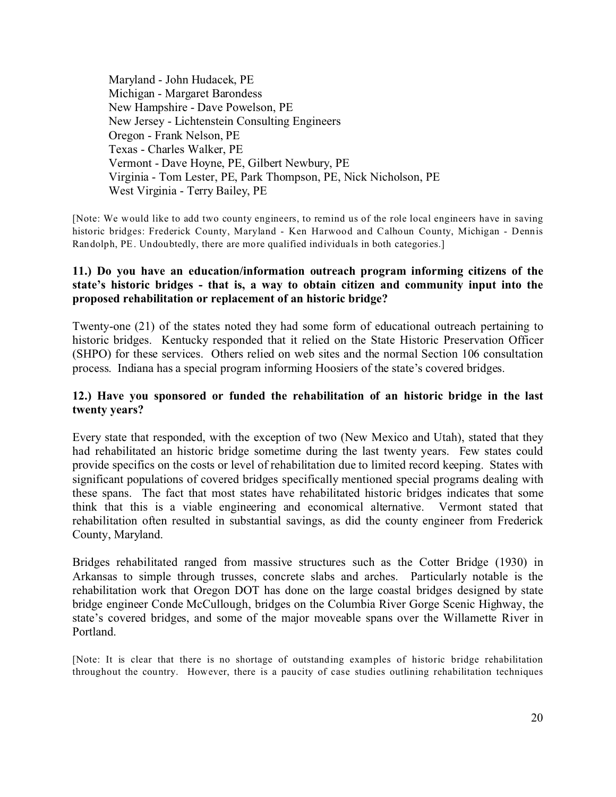Maryland - John Hudacek, PE Michigan - Margaret Barondess New Hampshire - Dave Powelson, PE New Jersey - Lichtenstein Consulting Engineers Oregon - Frank Nelson, PE Texas - Charles Walker, PE Vermont - Dave Hoyne, PE, Gilbert Newbury, PE Virginia - Tom Lester, PE, Park Thompson, PE, Nick Nicholson, PE West Virginia - Terry Bailey, PE

[Note: We would like to add two county engineers, to remind us of the role local engineers have in saving historic bridges: Frederick County, Maryland - Ken Harwood and Calhoun County, Michigan - Dennis Randolph, PE. Undoubtedly, there are more qualified individuals in both categories.]

# **11.) Do you have an education/information outreach program informing citizens of the state's historic bridges - that is, a way to obtain citizen and community input into the proposed rehabilitation or replacement of an historic bridge?**

Twenty-one (21) of the states noted they had some form of educational outreach pertaining to historic bridges. Kentucky responded that it relied on the State Historic Preservation Officer (SHPO) for these services. Others relied on web sites and the normal Section 106 consultation process. Indiana has a special program informing Hoosiers of the state's covered bridges.

#### **12.) Have you sponsored or funded the rehabilitation of an historic bridge in the last twenty years?**

Every state that responded, with the exception of two (New Mexico and Utah), stated that they had rehabilitated an historic bridge sometime during the last twenty years. Few states could provide specifics on the costs or level of rehabilitation due to limited record keeping. States with significant populations of covered bridges specifically mentioned special programs dealing with these spans. The fact that most states have rehabilitated historic bridges indicates that some think that this is a viable engineering and economical alternative. Vermont stated that rehabilitation often resulted in substantial savings, as did the county engineer from Frederick County, Maryland.

Bridges rehabilitated ranged from massive structures such as the Cotter Bridge (1930) in Arkansas to simple through trusses, concrete slabs and arches. Particularly notable is the rehabilitation work that Oregon DOT has done on the large coastal bridges designed by state bridge engineer Conde McCullough, bridges on the Columbia River Gorge Scenic Highway, the state's covered bridges, and some of the major moveable spans over the Willamette River in Portland.

[Note: It is clear that there is no shortage of outstanding examples of historic bridge rehabilitation throughout the country. However, there is a paucity of case studies outlining rehabilitation techniques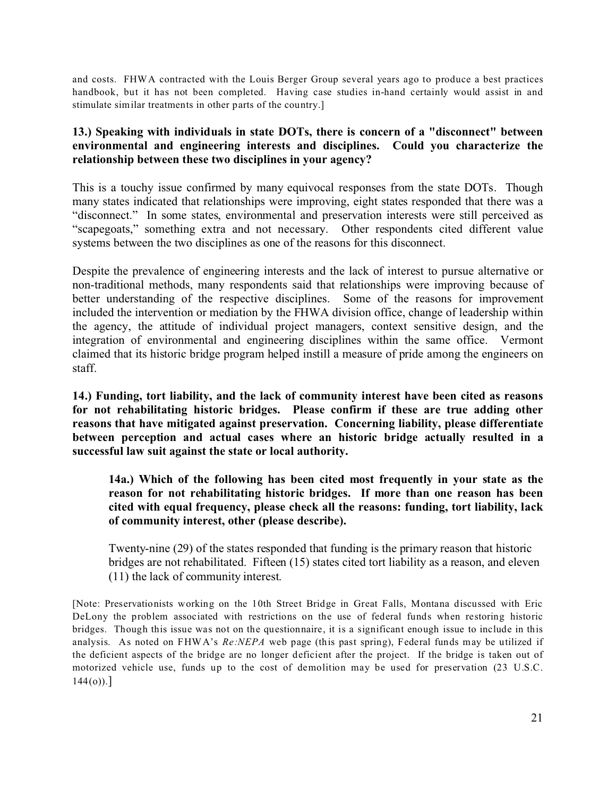and costs. FHWA contracted with the Louis Berger Group several years ago to produce a best practices handbook, but it has not been completed. Having case studies in-hand certainly would assist in and stimulate similar treatments in other parts of the country.]

## **13.) Speaking with individuals in state DOTs, there is concern of a "disconnect" between environmental and engineering interests and disciplines. Could you characterize the relationship between these two disciplines in your agency?**

This is a touchy issue confirmed by many equivocal responses from the state DOTs. Though many states indicated that relationships were improving, eight states responded that there was a "disconnect." In some states, environmental and preservation interests were still perceived as "scapegoats," something extra and not necessary. Other respondents cited different value systems between the two disciplines as one of the reasons for this disconnect.

Despite the prevalence of engineering interests and the lack of interest to pursue alternative or non-traditional methods, many respondents said that relationships were improving because of better understanding of the respective disciplines. Some of the reasons for improvement included the intervention or mediation by the FHWA division office, change of leadership within the agency, the attitude of individual project managers, context sensitive design, and the integration of environmental and engineering disciplines within the same office. Vermont claimed that its historic bridge program helped instill a measure of pride among the engineers on staff.

**14.) Funding, tort liability, and the lack of community interest have been cited as reasons for not rehabilitating historic bridges. Please confirm if these are true adding other reasons that have mitigated against preservation. Concerning liability, please differentiate between perception and actual cases where an historic bridge actually resulted in a successful law suit against the state or local authority.**

**14a.) Which of the following has been cited most frequently in your state as the reason for not rehabilitating historic bridges. If more than one reason has been cited with equal frequency, please check all the reasons: funding, tort liability, lack of community interest, other (please describe).** 

Twenty-nine (29) of the states responded that funding is the primary reason that historic bridges are not rehabilitated. Fifteen (15) states cited tort liability as a reason, and eleven (11) the lack of community interest.

[Note: Preservationists working on the 10th Street Bridge in Great Falls, Montana discussed with Eric DeLony the problem associated with restrictions on the use of federal funds when restoring historic bridges. Though this issue was not on the questionnaire, it is a significant enough issue to include in this analysis. As noted on FHWA's *Re:NEPA* web page (this past spring), Federal funds may be utilized if the deficient aspects of the bridge are no longer deficient after the project. If the bridge is taken out of motorized vehicle use, funds up to the cost of demolition may be used for preservation (23 U.S.C.  $144(0).$ ]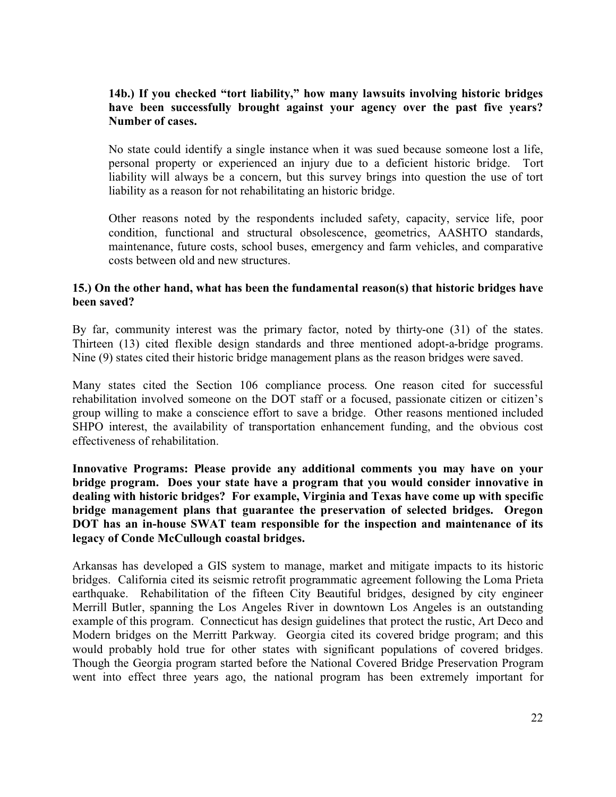# **14b.) If you checked "tort liability," how many lawsuits involving historic bridges have been successfully brought against your agency over the past five years? Number of cases.**

No state could identify a single instance when it was sued because someone lost a life, personal property or experienced an injury due to a deficient historic bridge. Tort liability will always be a concern, but this survey brings into question the use of tort liability as a reason for not rehabilitating an historic bridge.

Other reasons noted by the respondents included safety, capacity, service life, poor condition, functional and structural obsolescence, geometrics, AASHTO standards, maintenance, future costs, school buses, emergency and farm vehicles, and comparative costs between old and new structures.

## **15.) On the other hand, what has been the fundamental reason(s) that historic bridges have been saved?**

By far, community interest was the primary factor, noted by thirty-one (31) of the states. Thirteen (13) cited flexible design standards and three mentioned adopt-a-bridge programs. Nine (9) states cited their historic bridge management plans as the reason bridges were saved.

Many states cited the Section 106 compliance process. One reason cited for successful rehabilitation involved someone on the DOT staff or a focused, passionate citizen or citizen's group willing to make a conscience effort to save a bridge. Other reasons mentioned included SHPO interest, the availability of transportation enhancement funding, and the obvious cost effectiveness of rehabilitation.

**Innovative Programs: Please provide any additional comments you may have on your bridge program. Does your state have a program that you would consider innovative in dealing with historic bridges? For example, Virginia and Texas have come up with specific bridge management plans that guarantee the preservation of selected bridges. Oregon DOT has an in-house SWAT team responsible for the inspection and maintenance of its legacy of Conde McCullough coastal bridges.**

Arkansas has developed a GIS system to manage, market and mitigate impacts to its historic bridges. California cited its seismic retrofit programmatic agreement following the Loma Prieta earthquake. Rehabilitation of the fifteen City Beautiful bridges, designed by city engineer Merrill Butler, spanning the Los Angeles River in downtown Los Angeles is an outstanding example of this program. Connecticut has design guidelines that protect the rustic, Art Deco and Modern bridges on the Merritt Parkway. Georgia cited its covered bridge program; and this would probably hold true for other states with significant populations of covered bridges. Though the Georgia program started before the National Covered Bridge Preservation Program went into effect three years ago, the national program has been extremely important for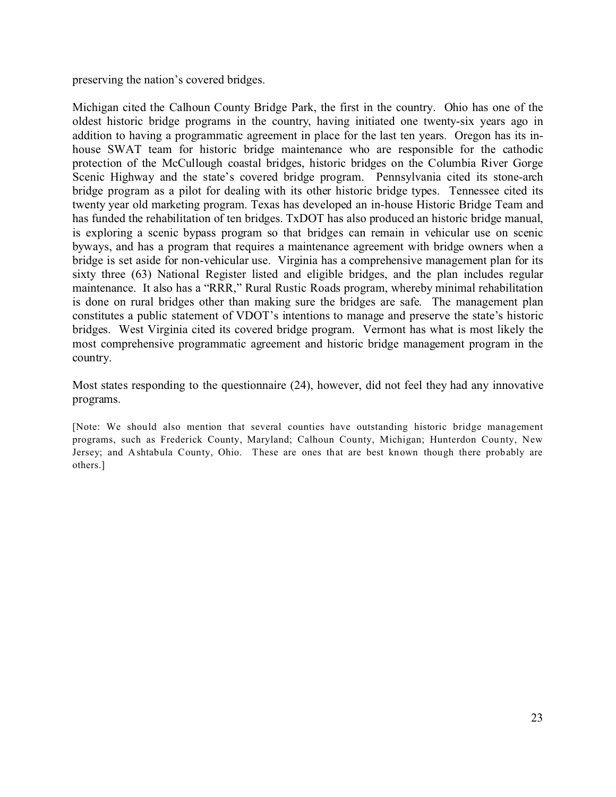preserving the nation's covered bridges.

Michigan cited the Calhoun County Bridge Park, the first in the country. Ohio has one of the oldest historic bridge programs in the country, having initiated one twenty-six years ago in addition to having a programmatic agreement in place for the last ten years. Oregon has its inhouse SWAT team for historic bridge maintenance who are responsible for the cathodic protection of the McCullough coastal bridges, historic bridges on the Columbia River Gorge Scenic Highway and the state's covered bridge program. Pennsylvania cited its stone-arch bridge program as a pilot for dealing with its other historic bridge types. Tennessee cited its twenty year old marketing program. Texas has developed an in-house Historic Bridge Team and has funded the rehabilitation of ten bridges. TxDOT has also produced an historic bridge manual, is exploring a scenic bypass program so that bridges can remain in vehicular use on scenic byways, and has a program that requires a maintenance agreement with bridge owners when a bridge is set aside for non-vehicular use. Virginia has a comprehensive management plan for its sixty three (63) National Register listed and eligible bridges, and the plan includes regular maintenance. It also has a "RRR," Rural Rustic Roads program, whereby minimal rehabilitation is done on rural bridges other than making sure the bridges are safe. The management plan constitutes a public statement of VDOT's intentions to manage and preserve the state's historic bridges. West Virginia cited its covered bridge program. Vermont has what is most likely the most comprehensive programmatic agreement and historic bridge management program in the country.

Most states responding to the questionnaire (24), however, did not feel they had any innovative programs.

[Note: We should also mention that several counties have outstanding historic bridge management programs, such as Frederick County, Maryland; Calhoun County, Michigan; Hunterdon County, New Jersey; and Ashtabula County, Ohio. These are ones that are best known though there probably are others.]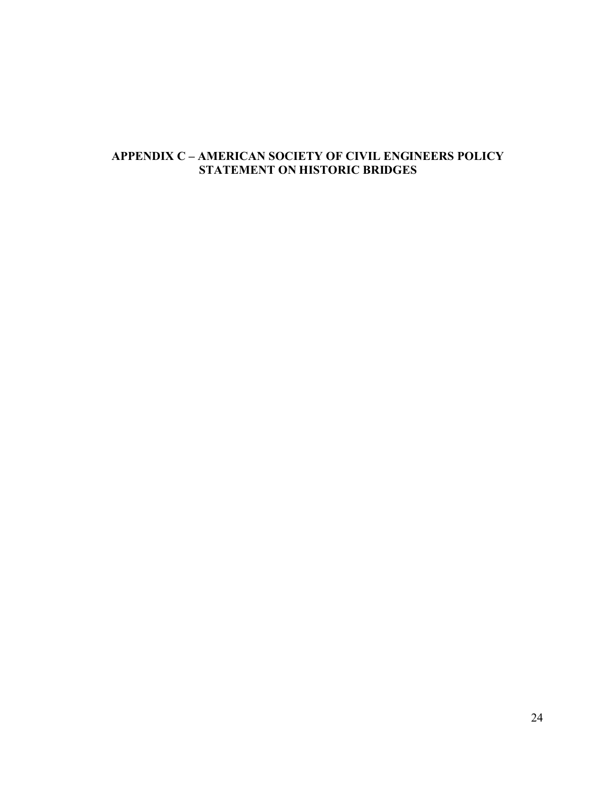# **APPENDIX C – AMERICAN SOCIETY OF CIVIL ENGINEERS POLICY STATEMENT ON HISTORIC BRIDGES**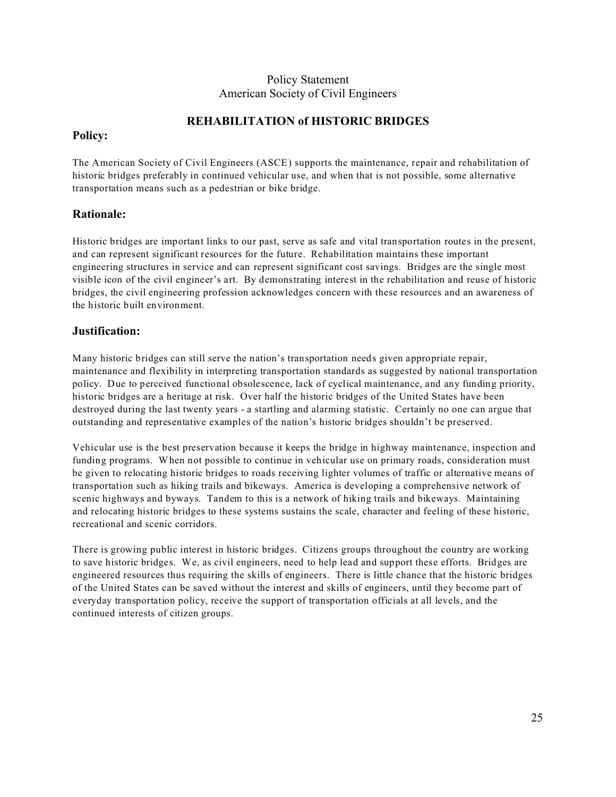## Policy Statement American Society of Civil Engineers

# **REHABILITATION of HISTORIC BRIDGES**

## **Policy:**

The American Society of Civil Engineers (ASCE) supports the maintenance, repair and rehabilitation of historic bridges preferably in continued vehicular use, and when that is not possible, some alternative transportation means such as a pedestrian or bike bridge.

# **Rationale:**

Historic bridges are important links to our past, serve as safe and vital transportation routes in the present, and can represent significant resources for the future. Rehabilitation maintains these important engineering structures in service and can represent significant cost savings. Bridges are the single most visible icon of the civil engineer's art. By demonstrating interest in the rehabilitation and reuse of historic bridges, the civil engineering profession acknowledges concern with these resources and an awareness of the historic built environment.

#### **Justification:**

Many historic bridges can still serve the nation's transportation needs given appropriate repair, maintenance and flexibility in interpreting transportation standards as suggested by national transportation policy. Due to perceived functional obsolescence, lack of cyclical maintenance, and any funding priority, historic bridges are a heritage at risk. Over half the historic bridges of the United States have been destroyed during the last twenty years - a startling and alarming statistic. Certainly no one can argue that outstanding and representative examples of the nation's historic bridges shouldn't be preserved.

Vehicular use is the best preservation because it keeps the bridge in highway maintenance, inspection and funding programs. When not possible to continue in vehicular use on primary roads, consideration must be given to relocating historic bridges to roads receiving lighter volumes of traffic or alternative means of transportation such as hiking trails and bikeways. America is developing a comprehensive network of scenic highways and byways. Tandem to this is a network of hiking trails and bikeways. Maintaining and relocating historic bridges to these systems sustains the scale, character and feeling of these historic, recreational and scenic corridors.

There is growing public interest in historic bridges. Citizens groups throughout the country are working to save historic bridges. We, as civil engineers, need to help lead and support these efforts. Bridges are engineered resources thus requiring the skills of engineers. There is little chance that the historic bridges of the United States can be saved without the interest and skills of engineers, until they become part of everyday transportation policy, receive the support of transportation officials at all levels, and the continued interests of citizen groups.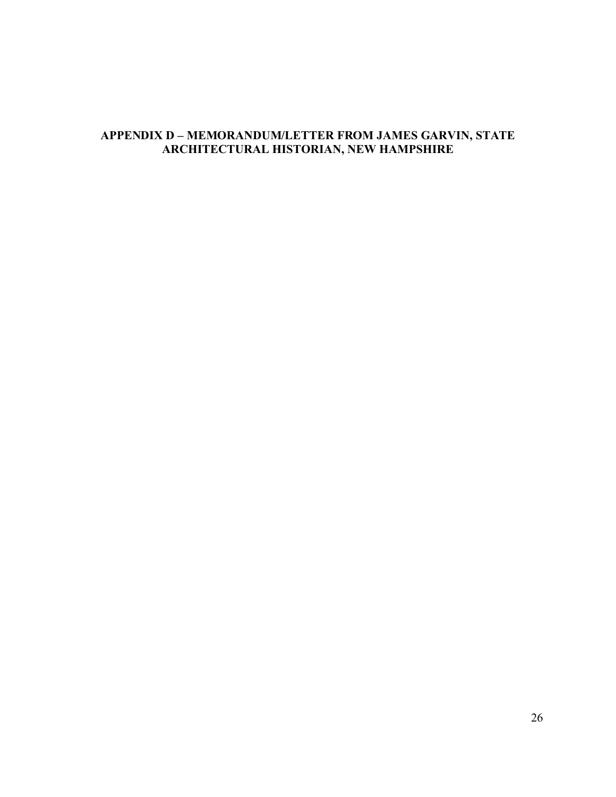# **APPENDIX D – MEMORANDUM/LETTER FROM JAMES GARVIN, STATE ARCHITECTURAL HISTORIAN, NEW HAMPSHIRE**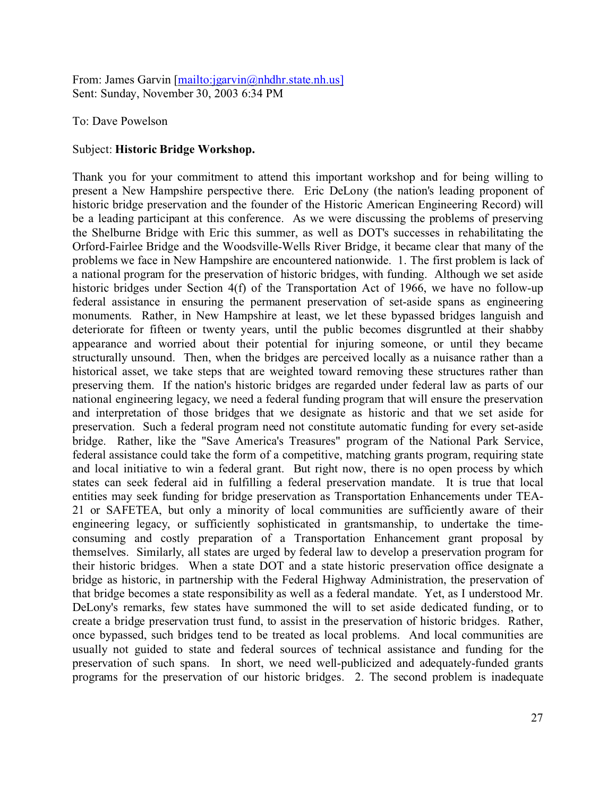From: James Garvin [[mailto:jgarvin@nhdhr.state.nh.us\]](http://[mailto:jgarvin@nhdhr.state.nh.us]) Sent: Sunday, November 30, 2003 6:34 PM

#### To: Dave Powelson

#### Subject: **Historic Bridge Workshop.**

Thank you for your commitment to attend this important workshop and for being willing to present a New Hampshire perspective there. Eric DeLony (the nation's leading proponent of historic bridge preservation and the founder of the Historic American Engineering Record) will be a leading participant at this conference. As we were discussing the problems of preserving the Shelburne Bridge with Eric this summer, as well as DOT's successes in rehabilitating the Orford-Fairlee Bridge and the Woodsville-Wells River Bridge, it became clear that many of the problems we face in New Hampshire are encountered nationwide. 1. The first problem is lack of a national program for the preservation of historic bridges, with funding. Although we set aside historic bridges under Section 4(f) of the Transportation Act of 1966, we have no follow-up federal assistance in ensuring the permanent preservation of set-aside spans as engineering monuments. Rather, in New Hampshire at least, we let these bypassed bridges languish and deteriorate for fifteen or twenty years, until the public becomes disgruntled at their shabby appearance and worried about their potential for injuring someone, or until they became structurally unsound. Then, when the bridges are perceived locally as a nuisance rather than a historical asset, we take steps that are weighted toward removing these structures rather than preserving them. If the nation's historic bridges are regarded under federal law as parts of our national engineering legacy, we need a federal funding program that will ensure the preservation and interpretation of those bridges that we designate as historic and that we set aside for preservation. Such a federal program need not constitute automatic funding for every set-aside bridge. Rather, like the "Save America's Treasures" program of the National Park Service, federal assistance could take the form of a competitive, matching grants program, requiring state and local initiative to win a federal grant. But right now, there is no open process by which states can seek federal aid in fulfilling a federal preservation mandate. It is true that local entities may seek funding for bridge preservation as Transportation Enhancements under TEA-21 or SAFETEA, but only a minority of local communities are sufficiently aware of their engineering legacy, or sufficiently sophisticated in grantsmanship, to undertake the timeconsuming and costly preparation of a Transportation Enhancement grant proposal by themselves. Similarly, all states are urged by federal law to develop a preservation program for their historic bridges. When a state DOT and a state historic preservation office designate a bridge as historic, in partnership with the Federal Highway Administration, the preservation of that bridge becomes a state responsibility as well as a federal mandate. Yet, as I understood Mr. DeLony's remarks, few states have summoned the will to set aside dedicated funding, or to create a bridge preservation trust fund, to assist in the preservation of historic bridges. Rather, once bypassed, such bridges tend to be treated as local problems. And local communities are usually not guided to state and federal sources of technical assistance and funding for the preservation of such spans. In short, we need well-publicized and adequately-funded grants programs for the preservation of our historic bridges. 2. The second problem is inadequate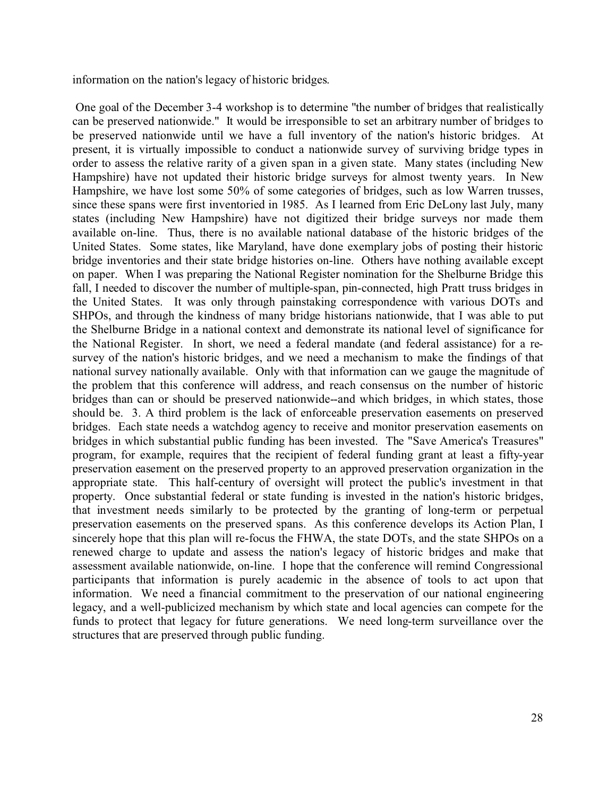information on the nation's legacy of historic bridges.

 One goal of the December 3-4 workshop is to determine "the number of bridges that realistically can be preserved nationwide." It would be irresponsible to set an arbitrary number of bridges to be preserved nationwide until we have a full inventory of the nation's historic bridges. At present, it is virtually impossible to conduct a nationwide survey of surviving bridge types in order to assess the relative rarity of a given span in a given state. Many states (including New Hampshire) have not updated their historic bridge surveys for almost twenty years. In New Hampshire, we have lost some 50% of some categories of bridges, such as low Warren trusses, since these spans were first inventoried in 1985. As I learned from Eric DeLony last July, many states (including New Hampshire) have not digitized their bridge surveys nor made them available on-line. Thus, there is no available national database of the historic bridges of the United States. Some states, like Maryland, have done exemplary jobs of posting their historic bridge inventories and their state bridge histories on-line. Others have nothing available except on paper. When I was preparing the National Register nomination for the Shelburne Bridge this fall, I needed to discover the number of multiple-span, pin-connected, high Pratt truss bridges in the United States. It was only through painstaking correspondence with various DOTs and SHPOs, and through the kindness of many bridge historians nationwide, that I was able to put the Shelburne Bridge in a national context and demonstrate its national level of significance for the National Register. In short, we need a federal mandate (and federal assistance) for a resurvey of the nation's historic bridges, and we need a mechanism to make the findings of that national survey nationally available. Only with that information can we gauge the magnitude of the problem that this conference will address, and reach consensus on the number of historic bridges than can or should be preserved nationwide--and which bridges, in which states, those should be. 3. A third problem is the lack of enforceable preservation easements on preserved bridges. Each state needs a watchdog agency to receive and monitor preservation easements on bridges in which substantial public funding has been invested. The "Save America's Treasures" program, for example, requires that the recipient of federal funding grant at least a fifty-year preservation easement on the preserved property to an approved preservation organization in the appropriate state. This half-century of oversight will protect the public's investment in that property. Once substantial federal or state funding is invested in the nation's historic bridges, that investment needs similarly to be protected by the granting of long-term or perpetual preservation easements on the preserved spans. As this conference develops its Action Plan, I sincerely hope that this plan will re-focus the FHWA, the state DOTs, and the state SHPOs on a renewed charge to update and assess the nation's legacy of historic bridges and make that assessment available nationwide, on-line. I hope that the conference will remind Congressional participants that information is purely academic in the absence of tools to act upon that information. We need a financial commitment to the preservation of our national engineering legacy, and a well-publicized mechanism by which state and local agencies can compete for the funds to protect that legacy for future generations. We need long-term surveillance over the structures that are preserved through public funding.